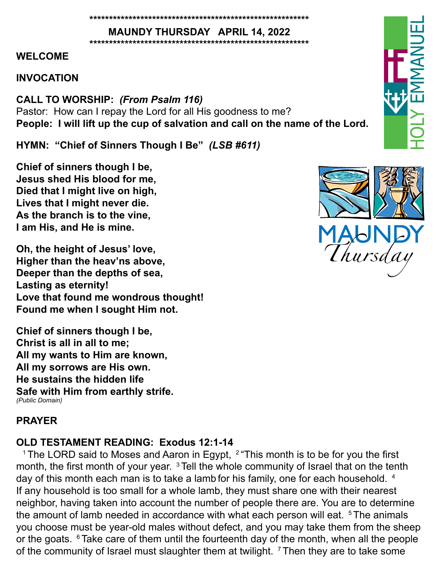#### **\*\*\*\*\*\*\*\*\*\*\*\*\*\*\*\*\*\*\*\*\*\*\*\*\*\*\*\*\*\*\*\*\*\*\*\*\*\*\*\*\*\*\*\*\*\*\*\*\*\*\*\*\*\*\*\***

**MAUNDY THURSDAY APRIL 14, 2022 \*\*\*\*\*\*\*\*\*\*\*\*\*\*\*\*\*\*\*\*\*\*\*\*\*\*\*\*\*\*\*\*\*\*\*\*\*\*\*\*\*\*\*\*\*\*\*\*\*\*\*\*\*\*\*\***

## **WELCOME**

# **INVOCATION**

**CALL TO WORSHIP:** *(From Psalm 116)* Pastor: How can I repay the Lord for all His goodness to me? **People: I will lift up the cup of salvation and call on the name of the Lord.**

**HYMN: "Chief of Sinners Though I Be"** *(LSB #611)*

**Chief of sinners though I be, Jesus shed His blood for me, Died that I might live on high, Lives that I might never die. As the branch is to the vine, I am His, and He is mine.**

**Oh, the height of Jesus' love, Higher than the heav'ns above, Deeper than the depths of sea, Lasting as eternity! Love that found me wondrous thought! Found me when I sought Him not.** 

**Chief of sinners though I be, Christ is all in all to me; All my wants to Him are known, All my sorrows are His own. He sustains the hidden life Safe with Him from earthly strife.** *(Public Domain)*

# **PRAYER**

# **OLD TESTAMENT READING: Exodus 12:1-14**

<sup>1</sup> The LORD said to Moses and Aaron in Egypt,  $2$  "This month is to be for you the first month, the first month of your year. <sup>3</sup> Tell the whole community of Israel that on the tenth day of this month each man is to take a lamb for his family, one for each household. <sup>4</sup> If any household is too small for a whole lamb, they must share one with their nearest neighbor, having taken into account the number of people there are. You are to determine the amount of lamb needed in accordance with what each person will eat.  $5$  The animals you choose must be year-old males without defect, and you may take them from the sheep or the goats.  $6$  Take care of them until the fourteenth day of the month, when all the people of the community of Israel must slaughter them at twilight. <sup>7</sup> Then they are to take some



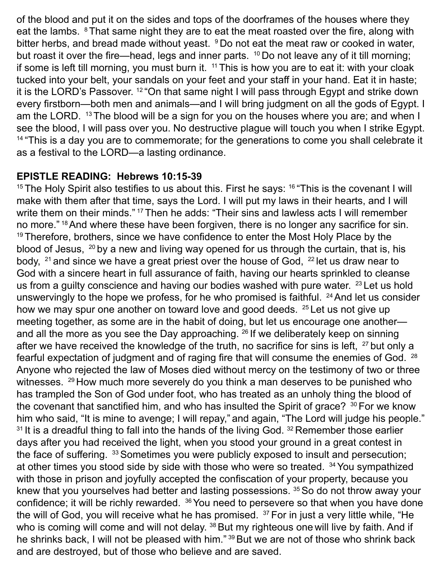of the blood and put it on the sides and tops of the doorframes of the houses where they eat the lambs. <sup>8</sup>That same night they are to eat the meat roasted over the fire, along with bitter herbs, and bread made without yeast. <sup>9</sup> Do not eat the meat raw or cooked in water, but roast it over the fire—head, legs and inner parts. <sup>10</sup> Do not leave any of it till morning; if some is left till morning, you must burn it.  $11$  This is how you are to eat it: with your cloak tucked into your belt, your sandals on your feet and your staff in your hand. Eat it in haste; it is the LORD's Passover. 12 "On that same night I will pass through Egypt and strike down every firstborn—both men and animals—and I will bring judgment on all the gods of Egypt. I am the LORD. <sup>13</sup> The blood will be a sign for you on the houses where you are; and when I see the blood, I will pass over you. No destructive plague will touch you when I strike Egypt.  $14$  "This is a day you are to commemorate; for the generations to come you shall celebrate it as a festival to the LORD—a lasting ordinance.

## **EPISTLE READING: Hebrews 10:15-39**

<sup>15</sup> The Holy Spirit also testifies to us about this. First he says:  $16$  "This is the covenant I will make with them after that time, says the Lord. I will put my laws in their hearts, and I will write them on their minds."<sup>17</sup> Then he adds: "Their sins and lawless acts I will remember no more." <sup>18</sup> And where these have been forgiven, there is no longer any sacrifice for sin.  $19$  Therefore, brothers, since we have confidence to enter the Most Holy Place by the blood of Jesus, 20 by a new and living way opened for us through the curtain, that is, his body,  $21$  and since we have a great priest over the house of God,  $22$  let us draw near to God with a sincere heart in full assurance of faith, having our hearts sprinkled to cleanse us from a guilty conscience and having our bodies washed with pure water. <sup>23</sup> Let us hold unswervingly to the hope we profess, for he who promised is faithful.  $24$  And let us consider how we may spur one another on toward love and good deeds. <sup>25</sup> Let us not give up meeting together, as some are in the habit of doing, but let us encourage one another and all the more as you see the Day approaching. <sup>26</sup> If we deliberately keep on sinning after we have received the knowledge of the truth, no sacrifice for sins is left, <sup>27</sup> but only a fearful expectation of judgment and of raging fire that will consume the enemies of God. <sup>28</sup> Anyone who rejected the law of Moses died without mercy on the testimony of two or three witnesses. <sup>29</sup> How much more severely do you think a man deserves to be punished who has trampled the Son of God under foot, who has treated as an unholy thing the blood of the covenant that sanctified him, and who has insulted the Spirit of grace?  $30$  For we know him who said, "It is mine to avenge; I will repay," and again, "The Lord will judge his people."  $31$  It is a dreadful thing to fall into the hands of the living God.  $32$  Remember those earlier days after you had received the light, when you stood your ground in a great contest in the face of suffering. 33 Sometimes you were publicly exposed to insult and persecution; at other times you stood side by side with those who were so treated. <sup>34</sup>You sympathized with those in prison and joyfully accepted the confiscation of your property, because you knew that you yourselves had better and lasting possessions. 35 So do not throw away your confidence; it will be richly rewarded. <sup>36</sup> You need to persevere so that when you have done the will of God, you will receive what he has promised. <sup>37</sup> For in just a very little while, "He who is coming will come and will not delay. <sup>38</sup> But my righteous one will live by faith. And if he shrinks back, I will not be pleased with him." 39 But we are not of those who shrink back and are destroyed, but of those who believe and are saved.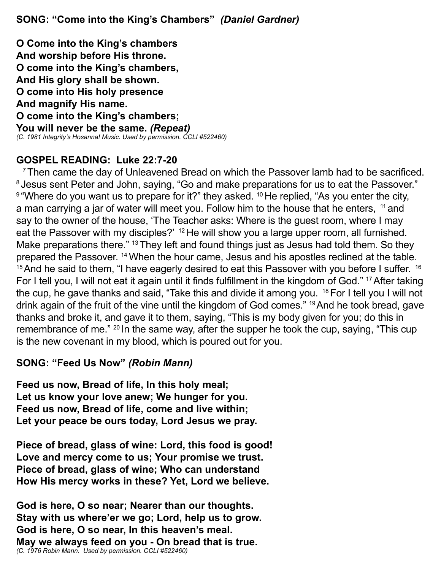**SONG: "Come into the King's Chambers"** *(Daniel Gardner)*

**O Come into the King's chambers And worship before His throne. O come into the King's chambers, And His glory shall be shown. O come into His holy presence And magnify His name. O come into the King's chambers; You will never be the same.** *(Repeat) (C. 1981 Integrity's Hosanna! Music. Used by permission. CCLI #522460)*

# **GOSPEL READING: Luke 22:7-20**

 $7$ Then came the day of Unleavened Bread on which the Passover lamb had to be sacrificed. <sup>8</sup> Jesus sent Peter and John, saying, "Go and make preparations for us to eat the Passover."  $9$  "Where do you want us to prepare for it?" they asked.  $10$  He replied, "As you enter the city, a man carrying a jar of water will meet you. Follow him to the house that he enters, <sup>11</sup> and say to the owner of the house, 'The Teacher asks: Where is the guest room, where I may eat the Passover with my disciples?' <sup>12</sup> He will show you a large upper room, all furnished. Make preparations there." <sup>13</sup> They left and found things just as Jesus had told them. So they prepared the Passover. <sup>14</sup>When the hour came, Jesus and his apostles reclined at the table.  $15$  And he said to them, "I have eagerly desired to eat this Passover with you before I suffer.  $16$ For I tell you, I will not eat it again until it finds fulfillment in the kingdom of God." 17 After taking the cup, he gave thanks and said, "Take this and divide it among you.  $18$  For I tell you I will not drink again of the fruit of the vine until the kingdom of God comes." 19 And he took bread, gave thanks and broke it, and gave it to them, saying, "This is my body given for you; do this in remembrance of me." 20 In the same way, after the supper he took the cup, saying, "This cup is the new covenant in my blood, which is poured out for you.

## **SONG: "Feed Us Now"** *(Robin Mann)*

**Feed us now, Bread of life, In this holy meal; Let us know your love anew; We hunger for you. Feed us now, Bread of life, come and live within; Let your peace be ours today, Lord Jesus we pray.**

**Piece of bread, glass of wine: Lord, this food is good! Love and mercy come to us; Your promise we trust. Piece of bread, glass of wine; Who can understand How His mercy works in these? Yet, Lord we believe.**

**God is here, O so near; Nearer than our thoughts. Stay with us where'er we go; Lord, help us to grow. God is here, O so near, In this heaven's meal. May we always feed on you - On bread that is true.** *(C. 1976 Robin Mann. Used by permission. CCLI #522460)*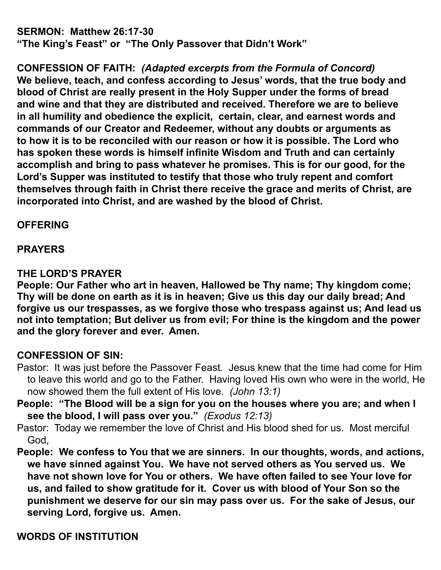**SERMON: Matthew 26:17-30** 

**"The King's Feast" or "The Only Passover that Didn't Work"**

**CONFESSION OF FAITH:** *(Adapted excerpts from the Formula of Concord)* **We believe, teach, and confess according to Jesus' words, that the true body and blood of Christ are really present in the Holy Supper under the forms of bread and wine and that they are distributed and received. Therefore we are to believe in all humility and obedience the explicit, certain, clear, and earnest words and commands of our Creator and Redeemer, without any doubts or arguments as to how it is to be reconciled with our reason or how it is possible. The Lord who has spoken these words is himself infinite Wisdom and Truth and can certainly accomplish and bring to pass whatever he promises. This is for our good, for the Lord's Supper was instituted to testify that those who truly repent and comfort themselves through faith in Christ there receive the grace and merits of Christ, are incorporated into Christ, and are washed by the blood of Christ.** 

## **OFFERING**

## **PRAYERS**

## **THE LORD'S PRAYER**

**People: Our Father who art in heaven, Hallowed be Thy name; Thy kingdom come; Thy will be done on earth as it is in heaven; Give us this day our daily bread; And forgive us our trespasses, as we forgive those who trespass against us; And lead us not into temptation; But deliver us from evil; For thine is the kingdom and the power and the glory forever and ever. Amen.** 

# **CONFESSION OF SIN:**

- Pastor: It was just before the Passover Feast. Jesus knew that the time had come for Him to leave this world and go to the Father. Having loved His own who were in the world, He now showed them the full extent of His love*. (John 13:1)*
- **People: "The Blood will be a sign for you on the houses where you are; and when I see the blood, I will pass over you."** *(Exodus 12:13)*
- Pastor: Today we remember the love of Christ and His blood shed for us. Most merciful God,
- **People: We confess to You that we are sinners. In our thoughts, words, and actions, we have sinned against You. We have not served others as You served us. We have not shown love for You or others. We have often failed to see Your love for us, and failed to show gratitude for it. Cover us with blood of Your Son so the punishment we deserve for our sin may pass over us. For the sake of Jesus, our serving Lord, forgive us. Amen.**

**WORDS OF INSTITUTION**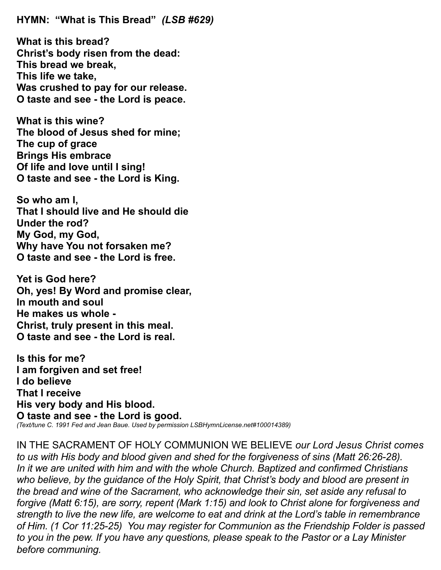**HYMN: "What is This Bread"** *(LSB #629)*

**What is this bread? Christ's body risen from the dead: This bread we break, This life we take, Was crushed to pay for our release. O taste and see - the Lord is peace.**

**What is this wine? The blood of Jesus shed for mine; The cup of grace Brings His embrace Of life and love until I sing! O taste and see - the Lord is King.**

**So who am I, That I should live and He should die Under the rod? My God, my God, Why have You not forsaken me? O taste and see - the Lord is free.**

**Yet is God here? Oh, yes! By Word and promise clear, In mouth and soul He makes us whole - Christ, truly present in this meal. O taste and see - the Lord is real.**

**Is this for me? I am forgiven and set free! I do believe That I receive His very body and His blood. O taste and see - the Lord is good.** *(Text/tune C. 1991 Fed and Jean Baue. Used by permission LSBHymnLicense.net#100014389)*

IN THE SACRAMENT OF HOLY COMMUNION WE BELIEVE *our Lord Jesus Christ comes to us with His body and blood given and shed for the forgiveness of sins (Matt 26:26-28). In it we are united with him and with the whole Church. Baptized and confirmed Christians who believe, by the guidance of the Holy Spirit, that Christ's body and blood are present in the bread and wine of the Sacrament, who acknowledge their sin, set aside any refusal to forgive (Matt 6:15), are sorry, repent (Mark 1:15) and look to Christ alone for forgiveness and strength to live the new life, are welcome to eat and drink at the Lord's table in remembrance of Him. (1 Cor 11:25-25) You may register for Communion as the Friendship Folder is passed to you in the pew. If you have any questions, please speak to the Pastor or a Lay Minister before communing.*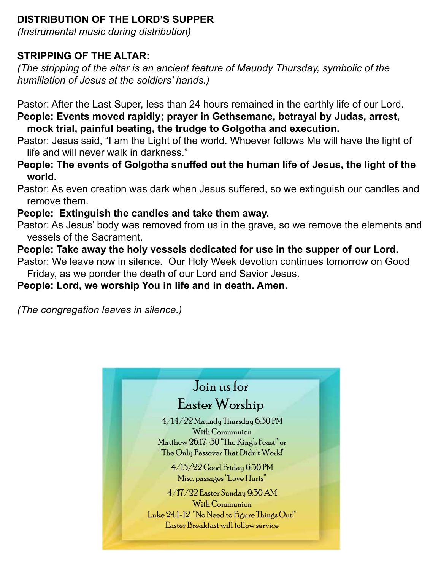# **DISTRIBUTION OF THE LORD'S SUPPER**

*(Instrumental music during distribution)*

# **STRIPPING OF THE ALTAR:**

*(The stripping of the altar is an ancient feature of Maundy Thursday, symbolic of the humiliation of Jesus at the soldiers' hands.)*

Pastor: After the Last Super, less than 24 hours remained in the earthly life of our Lord. **People: Events moved rapidly; prayer in Gethsemane, betrayal by Judas, arrest, mock trial, painful beating, the trudge to Golgotha and execution.**

Pastor: Jesus said, "I am the Light of the world. Whoever follows Me will have the light of life and will never walk in darkness."

**People: The events of Golgotha snuffed out the human life of Jesus, the light of the world.**

Pastor: As even creation was dark when Jesus suffered, so we extinguish our candles and remove them.

# **People: Extinguish the candles and take them away.**

Pastor: As Jesus' body was removed from us in the grave, so we remove the elements and vessels of the Sacrament.

# **People: Take away the holy vessels dedicated for use in the supper of our Lord.**

Pastor: We leave now in silence. Our Holy Week devotion continues tomorrow on Good Friday, as we ponder the death of our Lord and Savior Jesus.

# **People: Lord, we worship You in life and in death. Amen.**

*(The congregation leaves in silence.)*

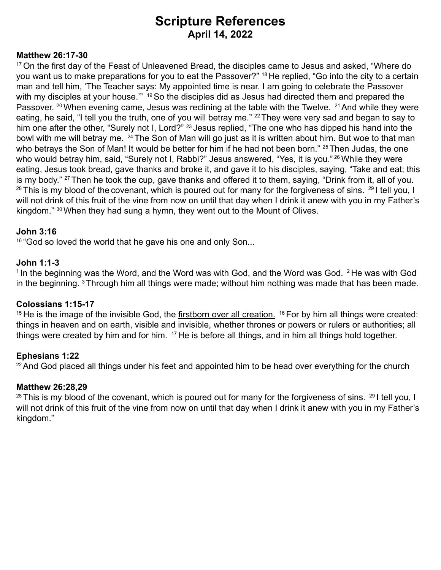# **Scripture References April 14, 2022**

### **Matthew 26:17-30**

<sup>17</sup> On the first day of the Feast of Unleavened Bread, the disciples came to Jesus and asked, "Where do you want us to make preparations for you to eat the Passover?" 18 He replied, "Go into the city to a certain man and tell him, 'The Teacher says: My appointed time is near. I am going to celebrate the Passover with my disciples at your house."<sup>19</sup> So the disciples did as Jesus had directed them and prepared the Passover. <sup>20</sup> When evening came, Jesus was reclining at the table with the Twelve. <sup>21</sup> And while they were eating, he said, "I tell you the truth, one of you will betray me." <sup>22</sup> They were very sad and began to say to him one after the other, "Surely not I, Lord?" <sup>23</sup> Jesus replied, "The one who has dipped his hand into the bowl with me will betray me. <sup>24</sup> The Son of Man will go just as it is written about him. But woe to that man who betrays the Son of Man! It would be better for him if he had not been born." <sup>25</sup> Then Judas, the one who would betray him, said, "Surely not I, Rabbi?" Jesus answered, "Yes, it is you."<sup>26</sup> While they were eating, Jesus took bread, gave thanks and broke it, and gave it to his disciples, saying, "Take and eat; this is my body." <sup>27</sup> Then he took the cup, gave thanks and offered it to them, saying, "Drink from it, all of you.  $28$  This is my blood of the covenant, which is poured out for many for the forgiveness of sins.  $29$  I tell you, I will not drink of this fruit of the vine from now on until that day when I drink it anew with you in my Father's kingdom." <sup>30</sup> When they had sung a hymn, they went out to the Mount of Olives.

#### **John 3:16**

<sup>16</sup> "God so loved the world that he gave his one and only Son...

#### **John 1:1-3**

 $1$ In the beginning was the Word, and the Word was with God, and the Word was God.  $2$  He was with God in the beginning. <sup>3</sup>Through him all things were made; without him nothing was made that has been made.

## **Colossians 1:15-17**

<sup>15</sup> He is the image of the invisible God, the firstborn over all creation.<sup>16</sup> For by him all things were created: things in heaven and on earth, visible and invisible, whether thrones or powers or rulers or authorities; all things were created by him and for him.  $17$  He is before all things, and in him all things hold together.

#### **Ephesians 1:22**

 $22$  And God placed all things under his feet and appointed him to be head over everything for the church

#### **Matthew 26:28,29**

 $^{28}$ This is my blood of the covenant, which is poured out for many for the forgiveness of sins.  $^{29}$ I tell you, I will not drink of this fruit of the vine from now on until that day when I drink it anew with you in my Father's kingdom."